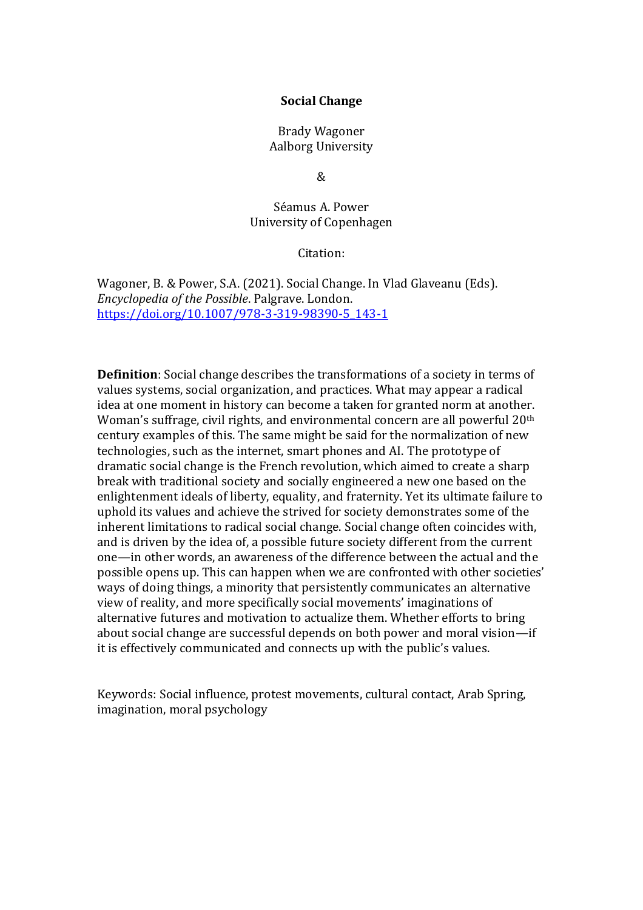## **Social Change**

Brady Wagoner Aalborg University

 $\mathcal{R}$ 

Séamus A. Power University of Copenhagen

Citation:

Wagoner, B. & Power, S.A. (2021). Social Change. In Vlad Glaveanu (Eds). *Encyclopedia of the Possible*. Palgrave. London. [https://doi.org/10.1007/978-3-319-98390-5\\_143-1](https://doi.org/10.1007/978-3-319-98390-5_143-1)

**Definition**: Social change describes the transformations of a society in terms of values systems, social organization, and practices. What may appear a radical idea at one moment in history can become a taken for granted norm at another. Woman's suffrage, civil rights, and environmental concern are all powerful 20<sup>th</sup> century examples of this. The same might be said for the normalization of new technologies, such as the internet, smart phones and AI. The prototype of dramatic social change is the French revolution, which aimed to create a sharp break with traditional society and socially engineered a new one based on the enlightenment ideals of liberty, equality, and fraternity. Yet its ultimate failure to uphold its values and achieve the strived for society demonstrates some of the inherent limitations to radical social change. Social change often coincides with, and is driven by the idea of, a possible future society different from the current one—in other words, an awareness of the difference between the actual and the possible opens up. This can happen when we are confronted with other societies' ways of doing things, a minority that persistently communicates an alternative view of reality, and more specifically social movements' imaginations of alternative futures and motivation to actualize them. Whether efforts to bring about social change are successful depends on both power and moral vision—if it is effectively communicated and connects up with the public's values.

Keywords: Social influence, protest movements, cultural contact, Arab Spring, imagination, moral psychology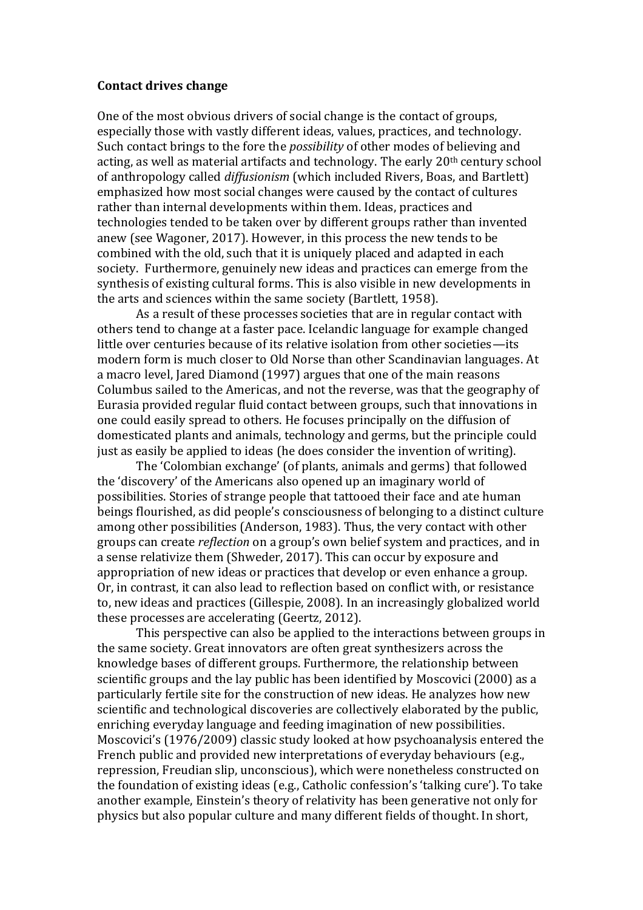#### **Contact drives change**

One of the most obvious drivers of social change is the contact of groups, especially those with vastly different ideas, values, practices, and technology. Such contact brings to the fore the *possibility* of other modes of believing and acting, as well as material artifacts and technology. The early 20th century school of anthropology called *diffusionism* (which included Rivers, Boas, and Bartlett) emphasized how most social changes were caused by the contact of cultures rather than internal developments within them. Ideas, practices and technologies tended to be taken over by different groups rather than invented anew (see Wagoner, 2017). However, in this process the new tends to be combined with the old, such that it is uniquely placed and adapted in each society. Furthermore, genuinely new ideas and practices can emerge from the synthesis of existing cultural forms. This is also visible in new developments in the arts and sciences within the same society (Bartlett, 1958).

As a result of these processes societies that are in regular contact with others tend to change at a faster pace. Icelandic language for example changed little over centuries because of its relative isolation from other societies—its modern form is much closer to Old Norse than other Scandinavian languages. At a macro level, Jared Diamond (1997) argues that one of the main reasons Columbus sailed to the Americas, and not the reverse, was that the geography of Eurasia provided regular fluid contact between groups, such that innovations in one could easily spread to others. He focuses principally on the diffusion of domesticated plants and animals, technology and germs, but the principle could just as easily be applied to ideas (he does consider the invention of writing).

The 'Colombian exchange' (of plants, animals and germs) that followed the 'discovery' of the Americans also opened up an imaginary world of possibilities. Stories of strange people that tattooed their face and ate human beings flourished, as did people's consciousness of belonging to a distinct culture among other possibilities (Anderson, 1983). Thus, the very contact with other groups can create *reflection* on a group's own belief system and practices, and in a sense relativize them (Shweder, 2017). This can occur by exposure and appropriation of new ideas or practices that develop or even enhance a group. Or, in contrast, it can also lead to reflection based on conflict with, or resistance to, new ideas and practices (Gillespie, 2008). In an increasingly globalized world these processes are accelerating (Geertz, 2012).

This perspective can also be applied to the interactions between groups in the same society. Great innovators are often great synthesizers across the knowledge bases of different groups. Furthermore, the relationship between scientific groups and the lay public has been identified by Moscovici (2000) as a particularly fertile site for the construction of new ideas. He analyzes how new scientific and technological discoveries are collectively elaborated by the public, enriching everyday language and feeding imagination of new possibilities. Moscovici's (1976/2009) classic study looked at how psychoanalysis entered the French public and provided new interpretations of everyday behaviours (e.g., repression, Freudian slip, unconscious), which were nonetheless constructed on the foundation of existing ideas (e.g., Catholic confession's 'talking cure'). To take another example, Einstein's theory of relativity has been generative not only for physics but also popular culture and many different fields of thought. In short,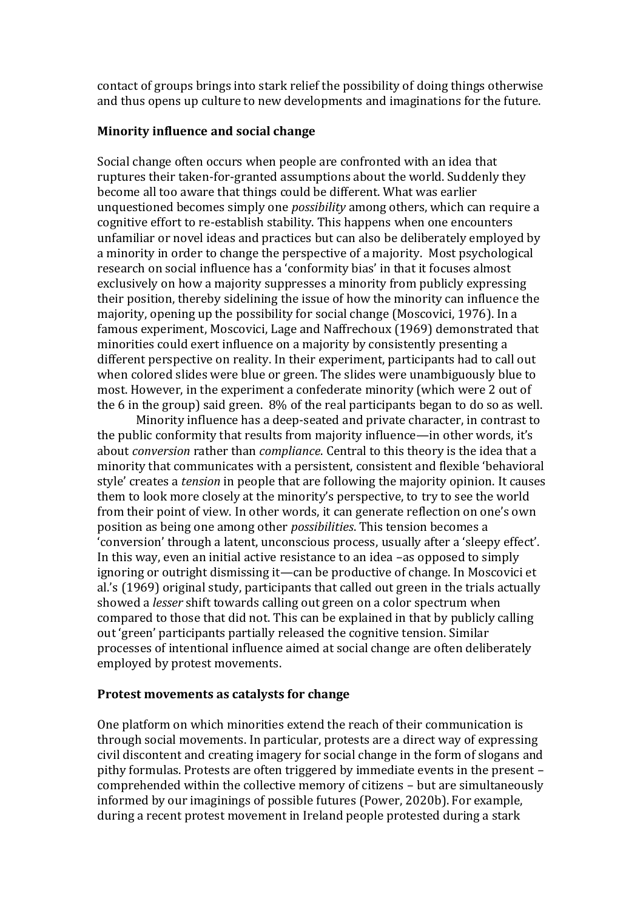contact of groups brings into stark relief the possibility of doing things otherwise and thus opens up culture to new developments and imaginations for the future.

## **Minority influence and social change**

Social change often occurs when people are confronted with an idea that ruptures their taken-for-granted assumptions about the world. Suddenly they become all too aware that things could be different. What was earlier unquestioned becomes simply one *possibility* among others, which can require a cognitive effort to re-establish stability. This happens when one encounters unfamiliar or novel ideas and practices but can also be deliberately employed by a minority in order to change the perspective of a majority. Most psychological research on social influence has a 'conformity bias' in that it focuses almost exclusively on how a majority suppresses a minority from publicly expressing their position, thereby sidelining the issue of how the minority can influence the majority, opening up the possibility for social change (Moscovici, 1976). In a famous experiment, Moscovici, Lage and Naffrechoux (1969) demonstrated that minorities could exert influence on a majority by consistently presenting a different perspective on reality. In their experiment, participants had to call out when colored slides were blue or green. The slides were unambiguously blue to most. However, in the experiment a confederate minority (which were 2 out of the 6 in the group) said green. 8% of the real participants began to do so as well.

Minority influence has a deep-seated and private character, in contrast to the public conformity that results from majority influence—in other words, it's about *conversion* rather than *compliance*. Central to this theory is the idea that a minority that communicates with a persistent, consistent and flexible 'behavioral style' creates a *tension* in people that are following the majority opinion. It causes them to look more closely at the minority's perspective, to try to see the world from their point of view. In other words, it can generate reflection on one's own position as being one among other *possibilities*. This tension becomes a 'conversion' through a latent, unconscious process, usually after a 'sleepy effect'. In this way, even an initial active resistance to an idea –as opposed to simply ignoring or outright dismissing it—can be productive of change. In Moscovici et al.'s (1969) original study, participants that called out green in the trials actually showed a *lesser* shift towards calling out green on a color spectrum when compared to those that did not. This can be explained in that by publicly calling out 'green' participants partially released the cognitive tension. Similar processes of intentional influence aimed at social change are often deliberately employed by protest movements.

# **Protest movements as catalysts for change**

One platform on which minorities extend the reach of their communication is through social movements. In particular, protests are a direct way of expressing civil discontent and creating imagery for social change in the form of slogans and pithy formulas. Protests are often triggered by immediate events in the present – comprehended within the collective memory of citizens – but are simultaneously informed by our imaginings of possible futures (Power, 2020b). For example, during a recent protest movement in Ireland people protested during a stark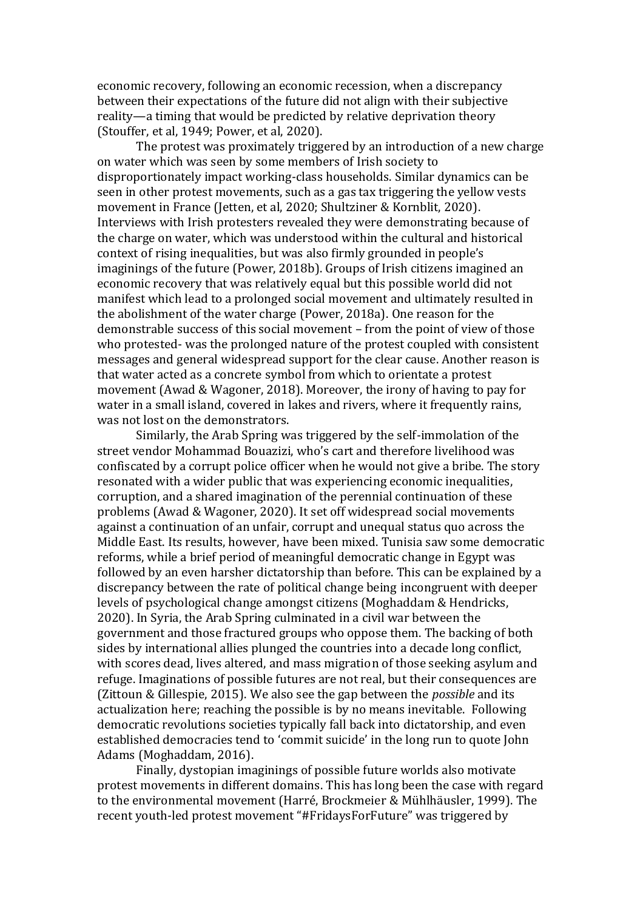economic recovery, following an economic recession, when a discrepancy between their expectations of the future did not align with their subjective reality—a timing that would be predicted by relative deprivation theory (Stouffer, et al, 1949; Power, et al, 2020).

The protest was proximately triggered by an introduction of a new charge on water which was seen by some members of Irish society to disproportionately impact working-class households. Similar dynamics can be seen in other protest movements, such as a gas tax triggering the yellow vests movement in France (Jetten, et al, 2020; Shultziner & Kornblit, 2020). Interviews with Irish protesters revealed they were demonstrating because of the charge on water, which was understood within the cultural and historical context of rising inequalities, but was also firmly grounded in people's imaginings of the future (Power, 2018b). Groups of Irish citizens imagined an economic recovery that was relatively equal but this possible world did not manifest which lead to a prolonged social movement and ultimately resulted in the abolishment of the water charge (Power, 2018a). One reason for the demonstrable success of this social movement – from the point of view of those who protested- was the prolonged nature of the protest coupled with consistent messages and general widespread support for the clear cause. Another reason is that water acted as a concrete symbol from which to orientate a protest movement (Awad & Wagoner, 2018). Moreover, the irony of having to pay for water in a small island, covered in lakes and rivers, where it frequently rains, was not lost on the demonstrators.

Similarly, the Arab Spring was triggered by the self-immolation of the street vendor Mohammad Bouazizi, who's cart and therefore livelihood was confiscated by a corrupt police officer when he would not give a bribe. The story resonated with a wider public that was experiencing economic inequalities, corruption, and a shared imagination of the perennial continuation of these problems (Awad & Wagoner, 2020). It set off widespread social movements against a continuation of an unfair, corrupt and unequal status quo across the Middle East. Its results, however, have been mixed. Tunisia saw some democratic reforms, while a brief period of meaningful democratic change in Egypt was followed by an even harsher dictatorship than before. This can be explained by a discrepancy between the rate of political change being incongruent with deeper levels of psychological change amongst citizens (Moghaddam & Hendricks, 2020). In Syria, the Arab Spring culminated in a civil war between the government and those fractured groups who oppose them. The backing of both sides by international allies plunged the countries into a decade long conflict, with scores dead, lives altered, and mass migration of those seeking asylum and refuge. Imaginations of possible futures are not real, but their consequences are (Zittoun & Gillespie, 2015). We also see the gap between the *possible* and its actualization here; reaching the possible is by no means inevitable. Following democratic revolutions societies typically fall back into dictatorship, and even established democracies tend to 'commit suicide' in the long run to quote John Adams (Moghaddam, 2016).

Finally, dystopian imaginings of possible future worlds also motivate protest movements in different domains. This has long been the case with regard to the environmental movement (Harré, Brockmeier & Mühlhäusler, 1999). The recent youth-led protest movement "#FridaysForFuture" was triggered by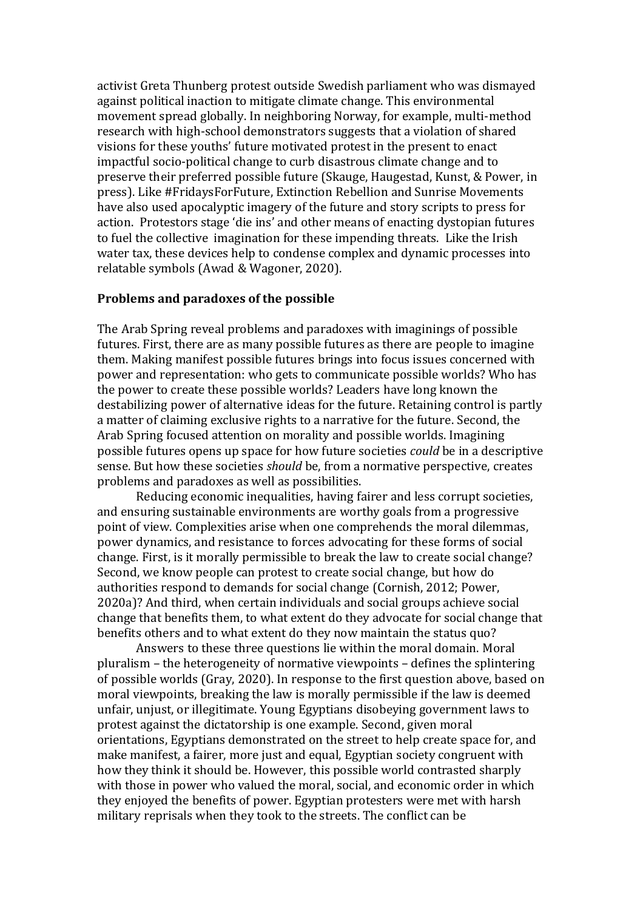activist Greta Thunberg protest outside Swedish parliament who was dismayed against political inaction to mitigate climate change. This environmental movement spread globally. In neighboring Norway, for example, multi-method research with high-school demonstrators suggests that a violation of shared visions for these youths' future motivated protest in the present to enact impactful socio-political change to curb disastrous climate change and to preserve their preferred possible future (Skauge, Haugestad, Kunst, & Power, in press). Like #FridaysForFuture, Extinction Rebellion and Sunrise Movements have also used apocalyptic imagery of the future and story scripts to press for action. Protestors stage 'die ins' and other means of enacting dystopian futures to fuel the collective imagination for these impending threats. Like the Irish water tax, these devices help to condense complex and dynamic processes into relatable symbols (Awad & Wagoner, 2020).

#### **Problems and paradoxes of the possible**

The Arab Spring reveal problems and paradoxes with imaginings of possible futures. First, there are as many possible futures as there are people to imagine them. Making manifest possible futures brings into focus issues concerned with power and representation: who gets to communicate possible worlds? Who has the power to create these possible worlds? Leaders have long known the destabilizing power of alternative ideas for the future. Retaining control is partly a matter of claiming exclusive rights to a narrative for the future. Second, the Arab Spring focused attention on morality and possible worlds. Imagining possible futures opens up space for how future societies *could* be in a descriptive sense. But how these societies *should* be, from a normative perspective, creates problems and paradoxes as well as possibilities.

Reducing economic inequalities, having fairer and less corrupt societies, and ensuring sustainable environments are worthy goals from a progressive point of view. Complexities arise when one comprehends the moral dilemmas, power dynamics, and resistance to forces advocating for these forms of social change. First, is it morally permissible to break the law to create social change? Second, we know people can protest to create social change, but how do authorities respond to demands for social change (Cornish, 2012; Power, 2020a)? And third, when certain individuals and social groups achieve social change that benefits them, to what extent do they advocate for social change that benefits others and to what extent do they now maintain the status quo?

Answers to these three questions lie within the moral domain. Moral pluralism – the heterogeneity of normative viewpoints – defines the splintering of possible worlds (Gray, 2020). In response to the first question above, based on moral viewpoints, breaking the law is morally permissible if the law is deemed unfair, unjust, or illegitimate. Young Egyptians disobeying government laws to protest against the dictatorship is one example. Second, given moral orientations, Egyptians demonstrated on the street to help create space for, and make manifest, a fairer, more just and equal, Egyptian society congruent with how they think it should be. However, this possible world contrasted sharply with those in power who valued the moral, social, and economic order in which they enjoyed the benefits of power. Egyptian protesters were met with harsh military reprisals when they took to the streets. The conflict can be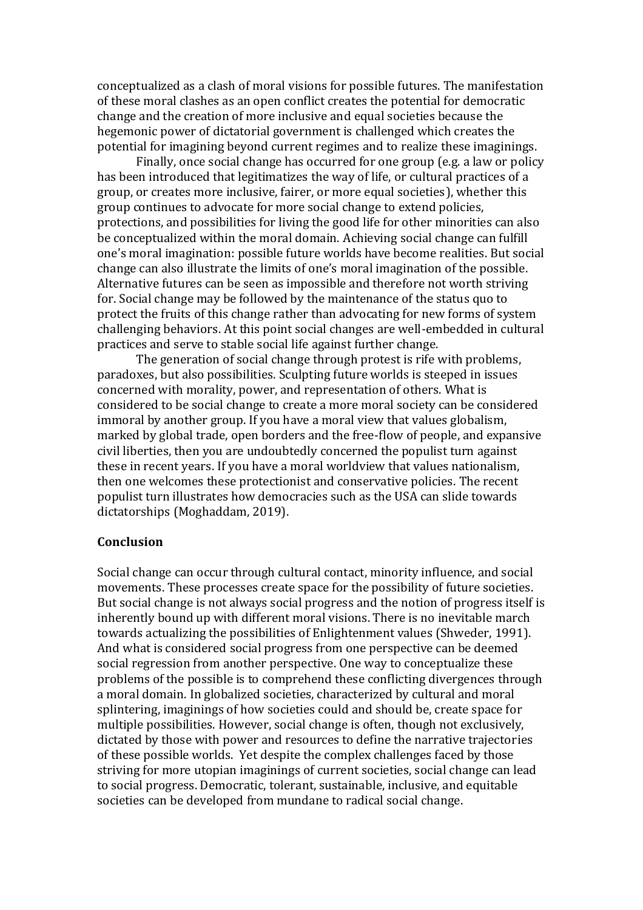conceptualized as a clash of moral visions for possible futures. The manifestation of these moral clashes as an open conflict creates the potential for democratic change and the creation of more inclusive and equal societies because the hegemonic power of dictatorial government is challenged which creates the potential for imagining beyond current regimes and to realize these imaginings.

Finally, once social change has occurred for one group (e.g. a law or policy has been introduced that legitimatizes the way of life, or cultural practices of a group, or creates more inclusive, fairer, or more equal societies), whether this group continues to advocate for more social change to extend policies, protections, and possibilities for living the good life for other minorities can also be conceptualized within the moral domain. Achieving social change can fulfill one's moral imagination: possible future worlds have become realities. But social change can also illustrate the limits of one's moral imagination of the possible. Alternative futures can be seen as impossible and therefore not worth striving for. Social change may be followed by the maintenance of the status quo to protect the fruits of this change rather than advocating for new forms of system challenging behaviors. At this point social changes are well-embedded in cultural practices and serve to stable social life against further change.

The generation of social change through protest is rife with problems, paradoxes, but also possibilities. Sculpting future worlds is steeped in issues concerned with morality, power, and representation of others. What is considered to be social change to create a more moral society can be considered immoral by another group. If you have a moral view that values globalism, marked by global trade, open borders and the free-flow of people, and expansive civil liberties, then you are undoubtedly concerned the populist turn against these in recent years. If you have a moral worldview that values nationalism, then one welcomes these protectionist and conservative policies. The recent populist turn illustrates how democracies such as the USA can slide towards dictatorships (Moghaddam, 2019).

## **Conclusion**

Social change can occur through cultural contact, minority influence, and social movements. These processes create space for the possibility of future societies. But social change is not always social progress and the notion of progress itself is inherently bound up with different moral visions. There is no inevitable march towards actualizing the possibilities of Enlightenment values (Shweder, 1991). And what is considered social progress from one perspective can be deemed social regression from another perspective. One way to conceptualize these problems of the possible is to comprehend these conflicting divergences through a moral domain. In globalized societies, characterized by cultural and moral splintering, imaginings of how societies could and should be, create space for multiple possibilities. However, social change is often, though not exclusively, dictated by those with power and resources to define the narrative trajectories of these possible worlds. Yet despite the complex challenges faced by those striving for more utopian imaginings of current societies, social change can lead to social progress. Democratic, tolerant, sustainable, inclusive, and equitable societies can be developed from mundane to radical social change.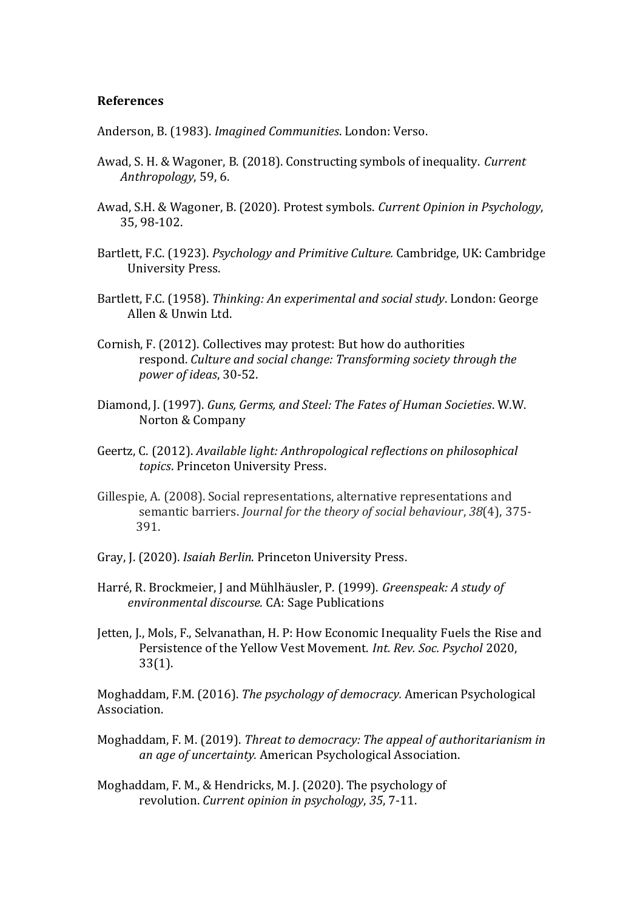#### **References**

Anderson, B. (1983). *Imagined Communities*. London: Verso.

- Awad, S. H. & Wagoner, B. (2018). Constructing symbols of inequality. *Current Anthropology*, 59, 6.
- Awad, S.H. & Wagoner, B. (2020). Protest symbols. *Current Opinion in Psychology*, 35, 98-102.
- Bartlett, F.C. (1923). *Psychology and Primitive Culture.* Cambridge, UK: Cambridge University Press.
- Bartlett, F.C. (1958). *Thinking: An experimental and social study*. London: George Allen & Unwin Ltd.
- Cornish, F. (2012). Collectives may protest: But how do authorities respond. *Culture and social change: Transforming society through the power of ideas*, 30-52.
- Diamond, J. (1997). *Guns, Germs, and Steel: The Fates of Human Societies*. W.W. Norton & Company
- Geertz, C. (2012). *Available light: Anthropological reflections on philosophical topics*. Princeton University Press.
- Gillespie, A. (2008). Social representations, alternative representations and semantic barriers. *Journal for the theory of social behaviour*, *38*(4), 375- 391.
- Gray, J. (2020). *Isaiah Berlin*. Princeton University Press.
- Harré, R. Brockmeier, J and Mühlhäusler, P. (1999). *Greenspeak: A study of environmental discourse.* CA: Sage Publications
- Jetten, J., Mols, F., Selvanathan, H. P: How Economic Inequality Fuels the Rise and Persistence of the Yellow Vest Movement. *Int. Rev. Soc. Psychol* 2020, 33(1).

Moghaddam, F.M. (2016). *The psychology of democracy.* American Psychological Association.

- Moghaddam, F. M. (2019). *Threat to democracy: The appeal of authoritarianism in an age of uncertainty.* American Psychological Association.
- Moghaddam, F. M., & Hendricks, M. J. (2020). The psychology of revolution. *Current opinion in psychology*, *35*, 7-11.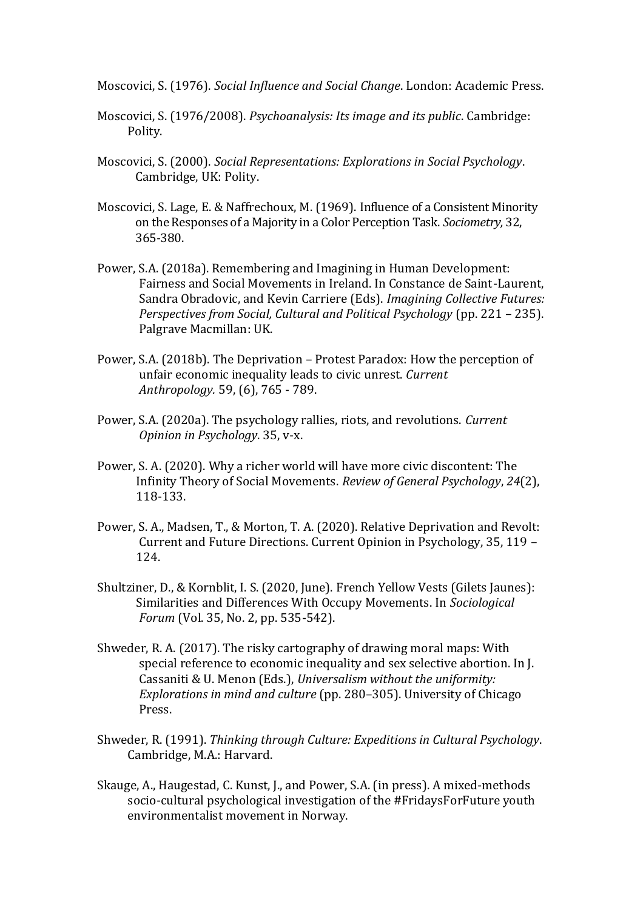Moscovici, S. (1976). *Social Influence and Social Change*. London: Academic Press.

- Moscovici, S. (1976/2008). *Psychoanalysis: Its image and its public*. Cambridge: Polity.
- Moscovici, S. (2000). *Social Representations: Explorations in Social Psychology*. Cambridge, UK: Polity.
- Moscovici, S. Lage, E. & Naffrechoux, M. (1969). Influence of a Consistent Minority on the Responses of a Majority in a Color Perception Task. *Sociometry,* 32, 365-380.
- Power, S.A. (2018a). Remembering and Imagining in Human Development: Fairness and Social Movements in Ireland. In Constance de Saint-Laurent, Sandra Obradovic, and Kevin Carriere (Eds). *Imagining Collective Futures: Perspectives from Social, Cultural and Political Psychology* (pp. 221 – 235). Palgrave Macmillan: UK.
- Power, S.A. (2018b). The Deprivation Protest Paradox: How the perception of unfair economic inequality leads to civic unrest. *Current Anthropology.* 59, (6), 765 - 789.
- Power, S.A. (2020a). The psychology rallies, riots, and revolutions. *Current Opinion in Psychology*. 35, v-x.
- Power, S. A. (2020). Why a richer world will have more civic discontent: The Infinity Theory of Social Movements. *Review of General Psychology*, *24*(2), 118-133.
- Power, S. A., Madsen, T., & Morton, T. A. (2020). Relative Deprivation and Revolt: Current and Future Directions. Current Opinion in Psychology, 35, 119 – 124.
- Shultziner, D., & Kornblit, I. S. (2020, June). French Yellow Vests (Gilets Jaunes): Similarities and Differences With Occupy Movements. In *Sociological Forum* (Vol. 35, No. 2, pp. 535-542).
- Shweder, R. A. (2017). The risky cartography of drawing moral maps: With special reference to economic inequality and sex selective abortion. In J. Cassaniti & U. Menon (Eds.), *Universalism without the uniformity: Explorations in mind and culture* (pp. 280–305). University of Chicago Press.
- Shweder, R. (1991). *Thinking through Culture: Expeditions in Cultural Psychology*. Cambridge, M.A.: Harvard.
- Skauge, A., Haugestad, C. Kunst, J., and Power, S.A. (in press). A mixed-methods socio-cultural psychological investigation of the #FridaysForFuture youth environmentalist movement in Norway.